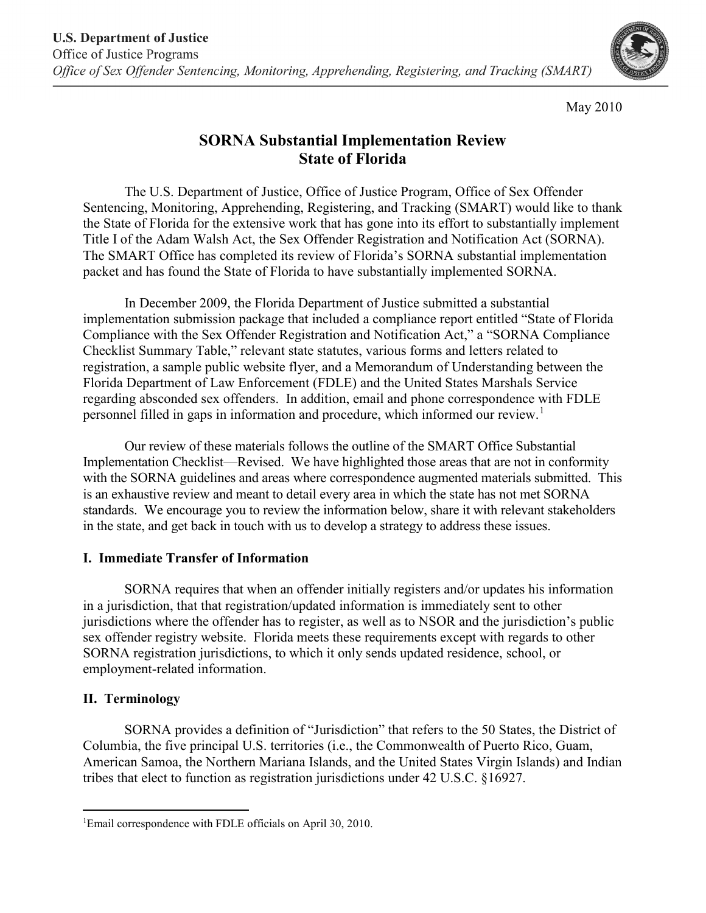

May 2010

# **SORNA Substantial Implementation Review State of Florida**

The U.S. Department of Justice, Office of Justice Program, Office of Sex Offender Sentencing, Monitoring, Apprehending, Registering, and Tracking (SMART) would like to thank the State of Florida for the extensive work that has gone into its effort to substantially implement Title I of the Adam Walsh Act, the Sex Offender Registration and Notification Act (SORNA). The SMART Office has completed its review of Florida's SORNA substantial implementation packet and has found the State of Florida to have substantially implemented SORNA.

In December 2009, the Florida Department of Justice submitted a substantial implementation submission package that included a compliance report entitled "State of Florida Compliance with the Sex Offender Registration and Notification Act," a "SORNA Compliance Checklist Summary Table," relevant state statutes, various forms and letters related to registration, a sample public website flyer, and a Memorandum of Understanding between the Florida Department of Law Enforcement (FDLE) and the United States Marshals Service regarding absconded sex offenders. In addition, email and phone correspondence with FDLE personnel filled in gaps in information and procedure, which informed our review.<sup>[1](#page-0-0)</sup>

Our review of these materials follows the outline of the SMART Office Substantial Implementation Checklist—Revised. We have highlighted those areas that are not in conformity with the SORNA guidelines and areas where correspondence augmented materials submitted. This is an exhaustive review and meant to detail every area in which the state has not met SORNA standards. We encourage you to review the information below, share it with relevant stakeholders in the state, and get back in touch with us to develop a strategy to address these issues.

### **I. Immediate Transfer of Information**

SORNA requires that when an offender initially registers and/or updates his information in a jurisdiction, that that registration/updated information is immediately sent to other jurisdictions where the offender has to register, as well as to NSOR and the jurisdiction's public sex offender registry website. Florida meets these requirements except with regards to other SORNA registration jurisdictions, to which it only sends updated residence, school, or employment-related information.

# **II. Terminology**

SORNA provides a definition of "Jurisdiction" that refers to the 50 States, the District of Columbia, the five principal U.S. territories (i.e., the Commonwealth of Puerto Rico, Guam, American Samoa, the Northern Mariana Islands, and the United States Virgin Islands) and Indian tribes that elect to function as registration jurisdictions under 42 U.S.C. §16927.

<span id="page-0-0"></span> $\frac{1}{1}$ Email correspondence with FDLE officials on April 30, 2010.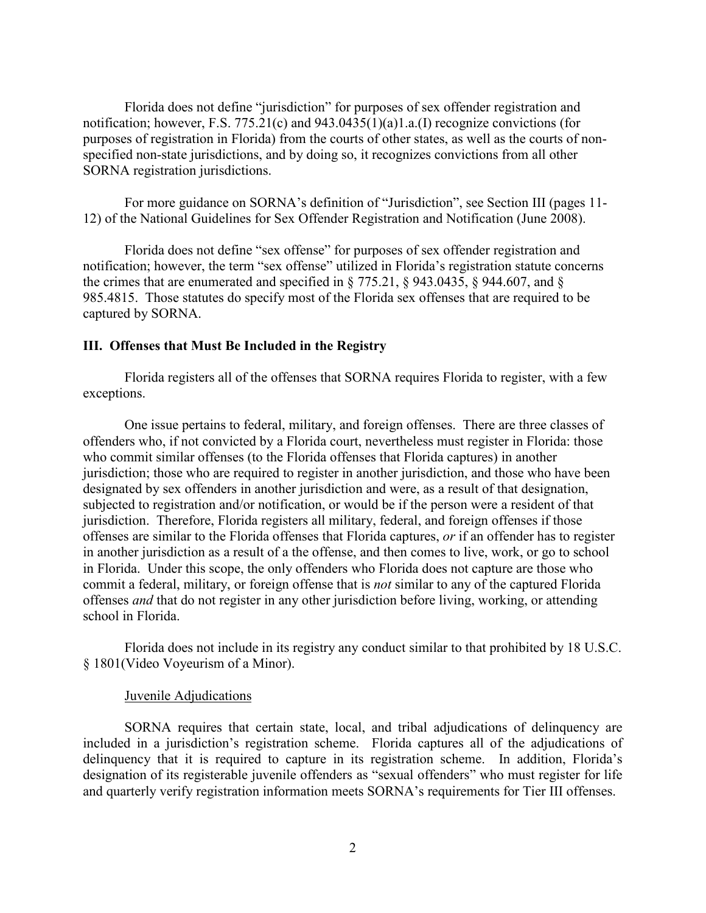Florida does not define "jurisdiction" for purposes of sex offender registration and notification; however, F.S. 775.21(c) and 943.0435(1)(a)1.a.(I) recognize convictions (for purposes of registration in Florida) from the courts of other states, as well as the courts of nonspecified non-state jurisdictions, and by doing so, it recognizes convictions from all other SORNA registration jurisdictions.

For more guidance on SORNA's definition of "Jurisdiction", see Section III (pages 11- 12) of the National Guidelines for Sex Offender Registration and Notification (June 2008).

Florida does not define "sex offense" for purposes of sex offender registration and notification; however, the term "sex offense" utilized in Florida's registration statute concerns the crimes that are enumerated and specified in § 775.21, § 943.0435, § 944.607, and § 985.4815. Those statutes do specify most of the Florida sex offenses that are required to be captured by SORNA.

#### **III. Offenses that Must Be Included in the Registry**

Florida registers all of the offenses that SORNA requires Florida to register, with a few exceptions.

One issue pertains to federal, military, and foreign offenses. There are three classes of offenders who, if not convicted by a Florida court, nevertheless must register in Florida: those who commit similar offenses (to the Florida offenses that Florida captures) in another jurisdiction; those who are required to register in another jurisdiction, and those who have been designated by sex offenders in another jurisdiction and were, as a result of that designation, subjected to registration and/or notification, or would be if the person were a resident of that jurisdiction. Therefore, Florida registers all military, federal, and foreign offenses if those offenses are similar to the Florida offenses that Florida captures, *or* if an offender has to register in another jurisdiction as a result of a the offense, and then comes to live, work, or go to school in Florida. Under this scope, the only offenders who Florida does not capture are those who commit a federal, military, or foreign offense that is *not* similar to any of the captured Florida offenses *and* that do not register in any other jurisdiction before living, working, or attending school in Florida.

Florida does not include in its registry any conduct similar to that prohibited by 18 U.S.C. § 1801(Video Voyeurism of a Minor).

#### Juvenile Adjudications

SORNA requires that certain state, local, and tribal adjudications of delinquency are included in a jurisdiction's registration scheme. Florida captures all of the adjudications of delinquency that it is required to capture in its registration scheme. In addition, Florida's designation of its registerable juvenile offenders as "sexual offenders" who must register for life and quarterly verify registration information meets SORNA's requirements for Tier III offenses.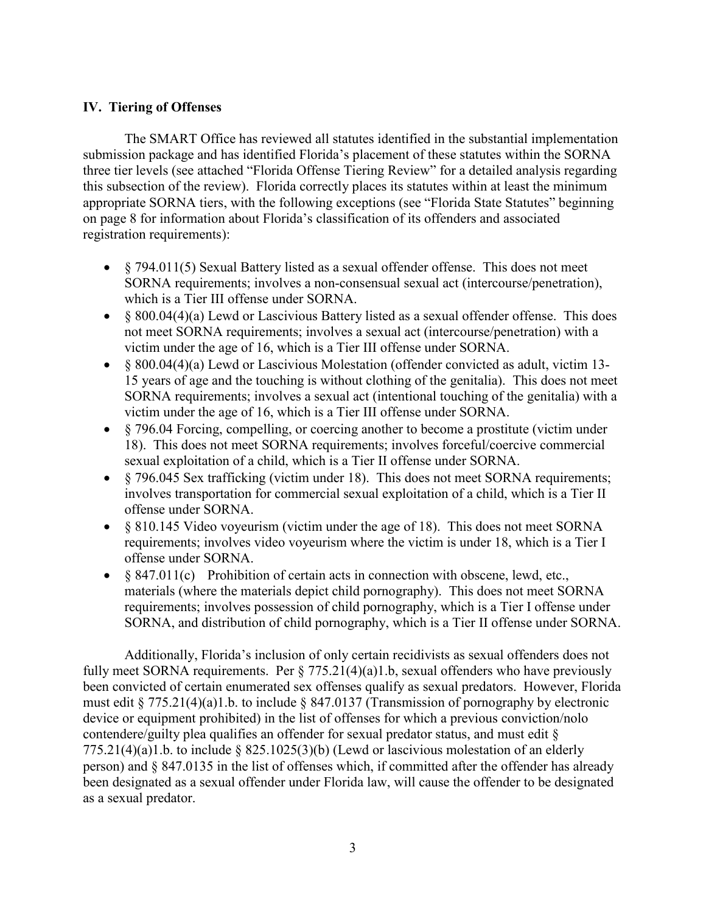#### **IV. Tiering of Offenses**

The SMART Office has reviewed all statutes identified in the substantial implementation submission package and has identified Florida's placement of these statutes within the SORNA three tier levels (see attached "Florida Offense Tiering Review" for a detailed analysis regarding this subsection of the review). Florida correctly places its statutes within at least the minimum appropriate SORNA tiers, with the following exceptions (see "Florida State Statutes" beginning on page 8 for information about Florida's classification of its offenders and associated registration requirements):

- § 794.011(5) Sexual Battery listed as a sexual offender offense. This does not meet SORNA requirements; involves a non-consensual sexual act (intercourse/penetration), which is a Tier III offense under SORNA.
- § 800.04(4)(a) Lewd or Lascivious Battery listed as a sexual offender offense. This does not meet SORNA requirements; involves a sexual act (intercourse/penetration) with a victim under the age of 16, which is a Tier III offense under SORNA.
- § 800.04(4)(a) Lewd or Lascivious Molestation (offender convicted as adult, victim 13-15 years of age and the touching is without clothing of the genitalia). This does not meet SORNA requirements; involves a sexual act (intentional touching of the genitalia) with a victim under the age of 16, which is a Tier III offense under SORNA.
- $\&$  796.04 Forcing, compelling, or coercing another to become a prostitute (victim under 18). This does not meet SORNA requirements; involves forceful/coercive commercial sexual exploitation of a child, which is a Tier II offense under SORNA.
- $\frac{1}{2}$   $\frac{1}{2}$   $\frac{1}{2}$   $\frac{1}{2}$   $\frac{1}{2}$   $\frac{1}{2}$   $\frac{1}{2}$   $\frac{1}{2}$   $\frac{1}{2}$   $\frac{1}{2}$   $\frac{1}{2}$   $\frac{1}{2}$   $\frac{1}{2}$   $\frac{1}{2}$   $\frac{1}{2}$   $\frac{1}{2}$   $\frac{1}{2}$   $\frac{1}{2}$   $\frac{1}{2}$   $\frac{1}{2}$   $\frac{1}{2}$   $\frac{1}{2}$  involves transportation for commercial sexual exploitation of a child, which is a Tier II offense under SORNA.
- § 810.145 Video voyeurism (victim under the age of 18). This does not meet SORNA requirements; involves video voyeurism where the victim is under 18, which is a Tier I offense under SORNA.
- § 847.011(c) Prohibition of certain acts in connection with obscene, lewd, etc., materials (where the materials depict child pornography). This does not meet SORNA requirements; involves possession of child pornography, which is a Tier I offense under SORNA, and distribution of child pornography, which is a Tier II offense under SORNA.

Additionally, Florida's inclusion of only certain recidivists as sexual offenders does not fully meet SORNA requirements. Per  $\S 775.21(4)(a)1.b$ , sexual offenders who have previously been convicted of certain enumerated sex offenses qualify as sexual predators. However, Florida must edit § 775.21(4)(a)1.b. to include § 847.0137 (Transmission of pornography by electronic device or equipment prohibited) in the list of offenses for which a previous conviction/nolo contendere/guilty plea qualifies an offender for sexual predator status, and must edit § 775.21(4)(a)1.b. to include  $\S$  825.1025(3)(b) (Lewd or lascivious molestation of an elderly person) and § 847.0135 in the list of offenses which, if committed after the offender has already been designated as a sexual offender under Florida law, will cause the offender to be designated as a sexual predator.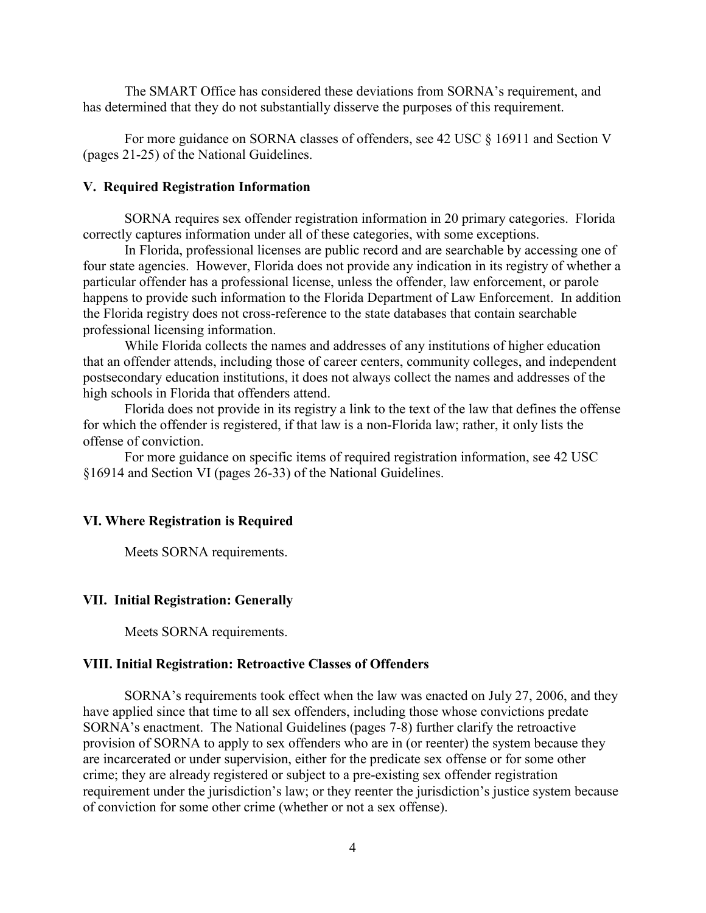The SMART Office has considered these deviations from SORNA's requirement, and has determined that they do not substantially disserve the purposes of this requirement.

For more guidance on SORNA classes of offenders, see 42 USC § 16911 and Section V (pages 21-25) of the National Guidelines.

#### **V. Required Registration Information**

SORNA requires sex offender registration information in 20 primary categories. Florida correctly captures information under all of these categories, with some exceptions.

In Florida, professional licenses are public record and are searchable by accessing one of four state agencies. However, Florida does not provide any indication in its registry of whether a particular offender has a professional license, unless the offender, law enforcement, or parole happens to provide such information to the Florida Department of Law Enforcement. In addition the Florida registry does not cross-reference to the state databases that contain searchable professional licensing information.

While Florida collects the names and addresses of any institutions of higher education that an offender attends, including those of career centers, community colleges, and independent postsecondary education institutions, it does not always collect the names and addresses of the high schools in Florida that offenders attend.

Florida does not provide in its registry a link to the text of the law that defines the offense for which the offender is registered, if that law is a non-Florida law; rather, it only lists the offense of conviction.

For more guidance on specific items of required registration information, see 42 USC §16914 and Section VI (pages 26-33) of the National Guidelines.

#### **VI. Where Registration is Required**

Meets SORNA requirements.

#### **VII. Initial Registration: Generally**

Meets SORNA requirements.

#### **VIII. Initial Registration: Retroactive Classes of Offenders**

SORNA's requirements took effect when the law was enacted on July 27, 2006, and they have applied since that time to all sex offenders, including those whose convictions predate SORNA's enactment. The National Guidelines (pages 7-8) further clarify the retroactive provision of SORNA to apply to sex offenders who are in (or reenter) the system because they are incarcerated or under supervision, either for the predicate sex offense or for some other crime; they are already registered or subject to a pre-existing sex offender registration requirement under the jurisdiction's law; or they reenter the jurisdiction's justice system because of conviction for some other crime (whether or not a sex offense).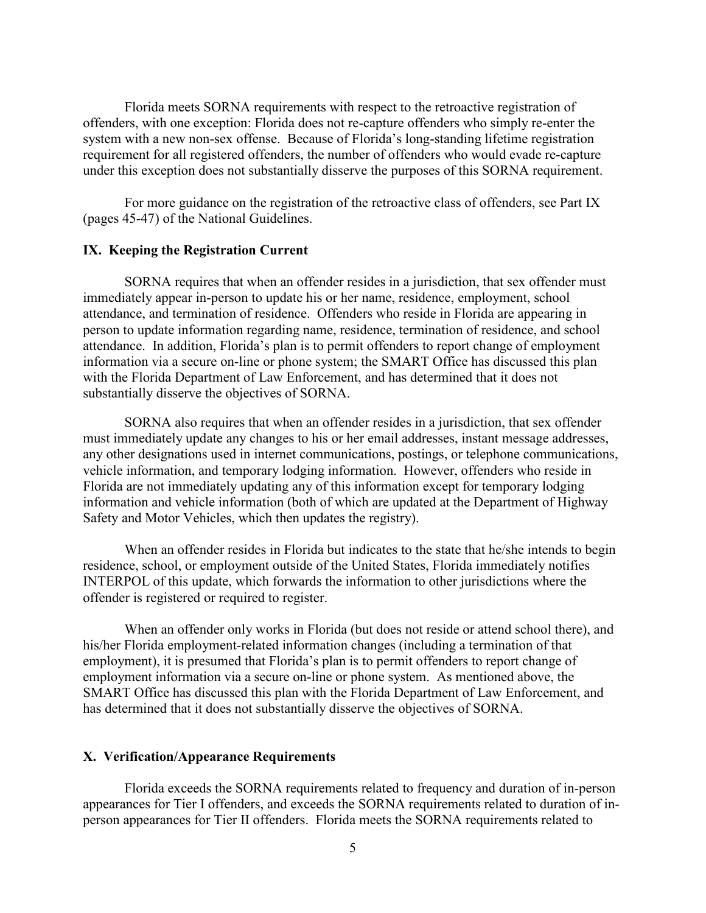Florida meets SORNA requirements with respect to the retroactive registration of offenders, with one exception: Florida does not re-capture offenders who simply re-enter the system with a new non-sex offense. Because of Florida's long-standing lifetime registration requirement for all registered offenders, the number of offenders who would evade re-capture under this exception does not substantially disserve the purposes of this SORNA requirement.

For more guidance on the registration of the retroactive class of offenders, see Part IX (pages 45-47) of the National Guidelines.

#### **IX. Keeping the Registration Current**

SORNA requires that when an offender resides in a jurisdiction, that sex offender must immediately appear in-person to update his or her name, residence, employment, school attendance, and termination of residence. Offenders who reside in Florida are appearing in person to update information regarding name, residence, termination of residence, and school attendance. In addition, Florida's plan is to permit offenders to report change of employment information via a secure on-line or phone system; the SMART Office has discussed this plan with the Florida Department of Law Enforcement, and has determined that it does not substantially disserve the objectives of SORNA.

SORNA also requires that when an offender resides in a jurisdiction, that sex offender must immediately update any changes to his or her email addresses, instant message addresses, any other designations used in internet communications, postings, or telephone communications, vehicle information, and temporary lodging information. However, offenders who reside in Florida are not immediately updating any of this information except for temporary lodging information and vehicle information (both of which are updated at the Department of Highway Safety and Motor Vehicles, which then updates the registry).

When an offender resides in Florida but indicates to the state that he/she intends to begin residence, school, or employment outside of the United States, Florida immediately notifies INTERPOL of this update, which forwards the information to other jurisdictions where the offender is registered or required to register.

When an offender only works in Florida (but does not reside or attend school there), and his/her Florida employment-related information changes (including a termination of that employment), it is presumed that Florida's plan is to permit offenders to report change of employment information via a secure on-line or phone system. As mentioned above, the SMART Office has discussed this plan with the Florida Department of Law Enforcement, and has determined that it does not substantially disserve the objectives of SORNA.

#### **X. Verification/Appearance Requirements**

Florida exceeds the SORNA requirements related to frequency and duration of in-person appearances for Tier I offenders, and exceeds the SORNA requirements related to duration of inperson appearances for Tier II offenders. Florida meets the SORNA requirements related to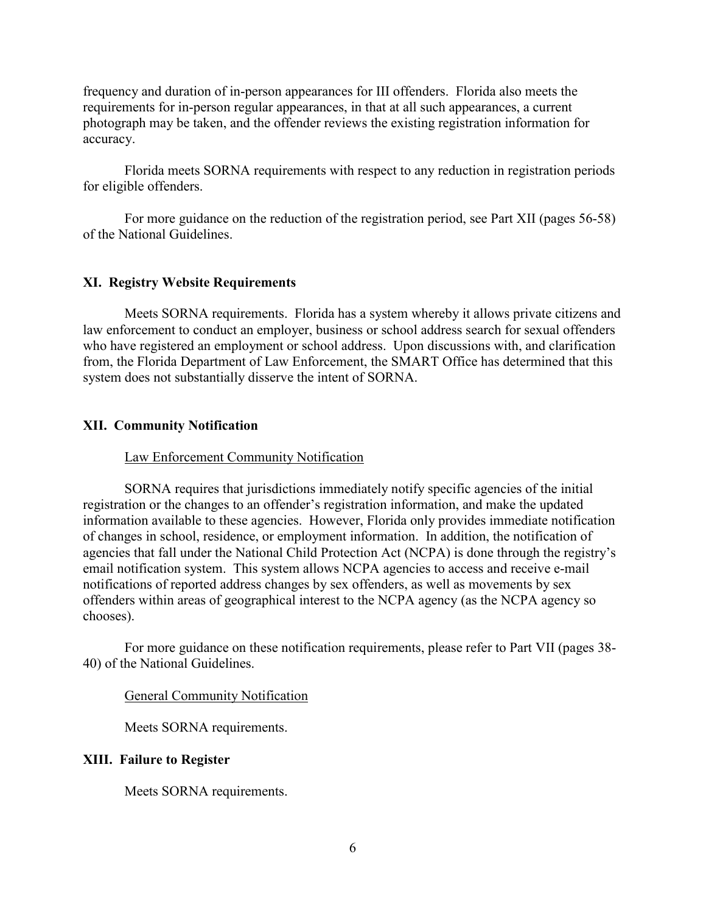frequency and duration of in-person appearances for III offenders. Florida also meets the requirements for in-person regular appearances, in that at all such appearances, a current photograph may be taken, and the offender reviews the existing registration information for accuracy.

Florida meets SORNA requirements with respect to any reduction in registration periods for eligible offenders.

For more guidance on the reduction of the registration period, see Part XII (pages 56-58) of the National Guidelines.

#### **XI. Registry Website Requirements**

Meets SORNA requirements. Florida has a system whereby it allows private citizens and law enforcement to conduct an employer, business or school address search for sexual offenders who have registered an employment or school address. Upon discussions with, and clarification from, the Florida Department of Law Enforcement, the SMART Office has determined that this system does not substantially disserve the intent of SORNA.

#### **XII. Community Notification**

#### Law Enforcement Community Notification

SORNA requires that jurisdictions immediately notify specific agencies of the initial registration or the changes to an offender's registration information, and make the updated information available to these agencies. However, Florida only provides immediate notification of changes in school, residence, or employment information. In addition, the notification of agencies that fall under the National Child Protection Act (NCPA) is done through the registry's email notification system. This system allows NCPA agencies to access and receive e-mail notifications of reported address changes by sex offenders, as well as movements by sex offenders within areas of geographical interest to the NCPA agency (as the NCPA agency so chooses).

For more guidance on these notification requirements, please refer to Part VII (pages 38- 40) of the National Guidelines.

#### General Community Notification

Meets SORNA requirements.

#### **XIII. Failure to Register**

Meets SORNA requirements.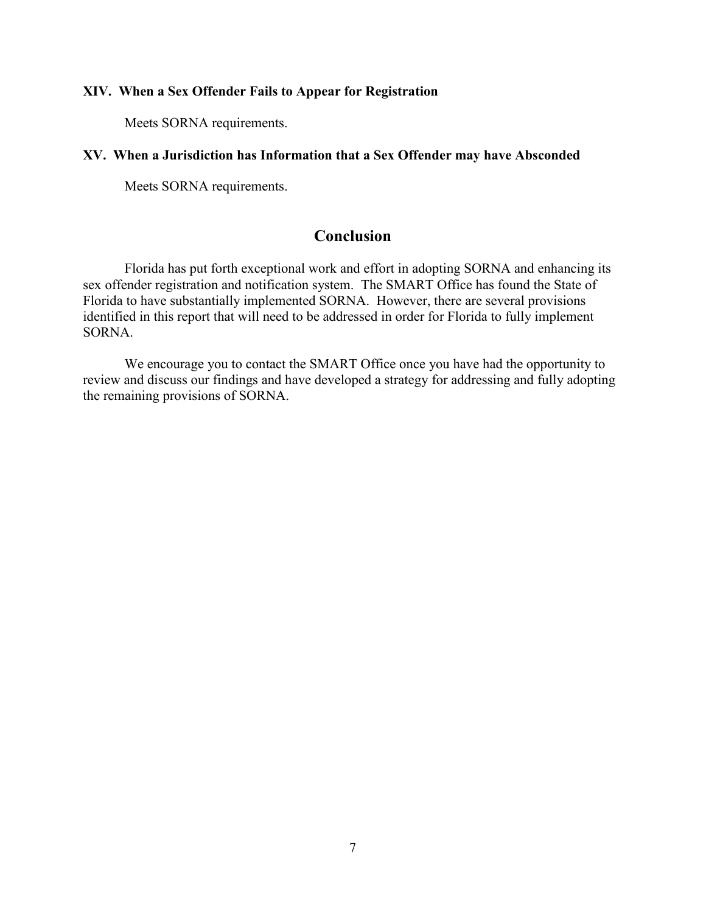#### **XIV. When a Sex Offender Fails to Appear for Registration**

Meets SORNA requirements.

#### **XV. When a Jurisdiction has Information that a Sex Offender may have Absconded**

Meets SORNA requirements.

# **Conclusion**

Florida has put forth exceptional work and effort in adopting SORNA and enhancing its sex offender registration and notification system. The SMART Office has found the State of Florida to have substantially implemented SORNA. However, there are several provisions identified in this report that will need to be addressed in order for Florida to fully implement SORNA.

We encourage you to contact the SMART Office once you have had the opportunity to review and discuss our findings and have developed a strategy for addressing and fully adopting the remaining provisions of SORNA.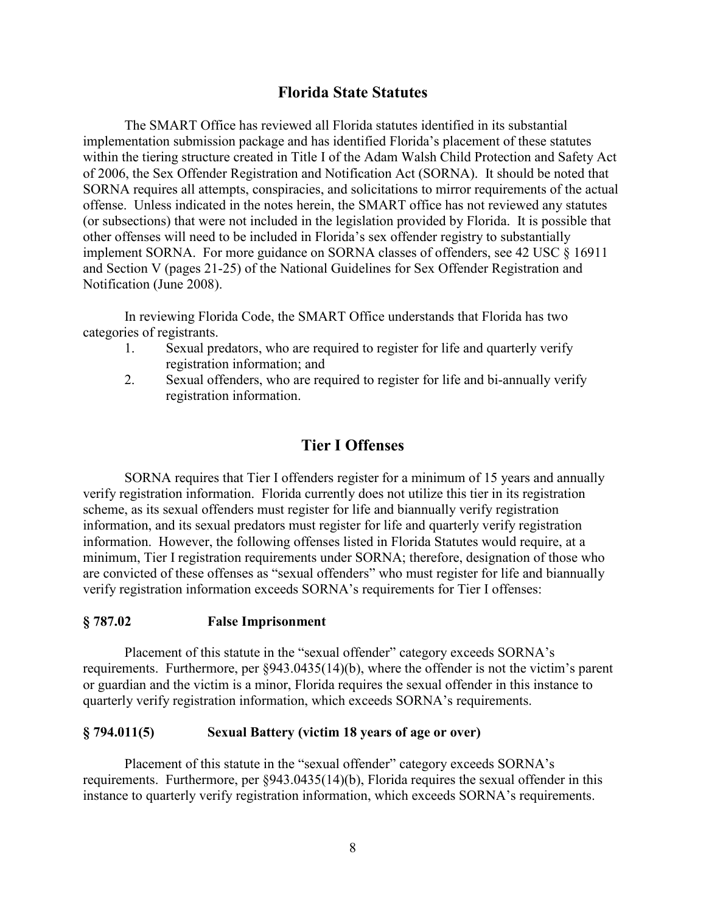### **Florida State Statutes**

The SMART Office has reviewed all Florida statutes identified in its substantial implementation submission package and has identified Florida's placement of these statutes within the tiering structure created in Title I of the Adam Walsh Child Protection and Safety Act of 2006, the Sex Offender Registration and Notification Act (SORNA). It should be noted that SORNA requires all attempts, conspiracies, and solicitations to mirror requirements of the actual offense. Unless indicated in the notes herein, the SMART office has not reviewed any statutes (or subsections) that were not included in the legislation provided by Florida. It is possible that other offenses will need to be included in Florida's sex offender registry to substantially implement SORNA. For more guidance on SORNA classes of offenders, see 42 USC § 16911 and Section V (pages 21-25) of the National Guidelines for Sex Offender Registration and Notification (June 2008).

In reviewing Florida Code, the SMART Office understands that Florida has two categories of registrants.

- 1. Sexual predators, who are required to register for life and quarterly verify registration information; and
- 2. Sexual offenders, who are required to register for life and bi-annually verify registration information.

### **Tier I Offenses**

SORNA requires that Tier I offenders register for a minimum of 15 years and annually verify registration information. Florida currently does not utilize this tier in its registration scheme, as its sexual offenders must register for life and biannually verify registration information, and its sexual predators must register for life and quarterly verify registration information. However, the following offenses listed in Florida Statutes would require, at a minimum, Tier I registration requirements under SORNA; therefore, designation of those who are convicted of these offenses as "sexual offenders" who must register for life and biannually verify registration information exceeds SORNA's requirements for Tier I offenses:

#### **§ 787.02 False Imprisonment**

Placement of this statute in the "sexual offender" category exceeds SORNA's requirements. Furthermore, per §943.0435(14)(b), where the offender is not the victim's parent or guardian and the victim is a minor, Florida requires the sexual offender in this instance to quarterly verify registration information, which exceeds SORNA's requirements.

#### **§ 794.011(5) Sexual Battery (victim 18 years of age or over)**

Placement of this statute in the "sexual offender" category exceeds SORNA's requirements. Furthermore, per §943.0435(14)(b), Florida requires the sexual offender in this instance to quarterly verify registration information, which exceeds SORNA's requirements.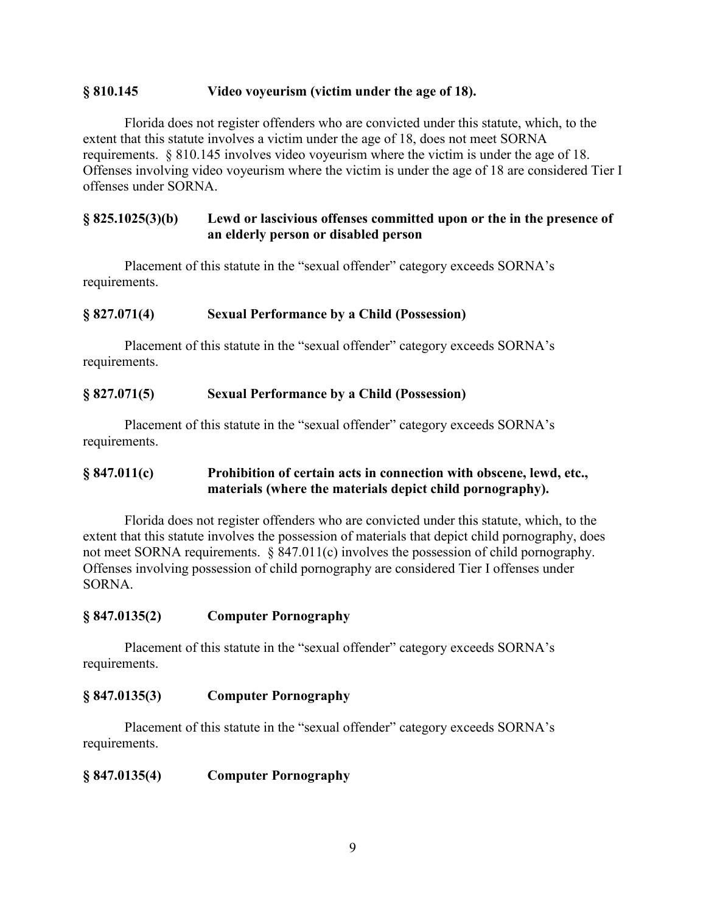#### **§ 810.145 Video voyeurism (victim under the age of 18).**

Florida does not register offenders who are convicted under this statute, which, to the extent that this statute involves a victim under the age of 18, does not meet SORNA requirements. § 810.145 involves video voyeurism where the victim is under the age of 18. Offenses involving video voyeurism where the victim is under the age of 18 are considered Tier I offenses under SORNA.

#### **§ 825.1025(3)(b) Lewd or lascivious offenses committed upon or the in the presence of an elderly person or disabled person**

Placement of this statute in the "sexual offender" category exceeds SORNA's requirements.

#### **§ 827.071(4) Sexual Performance by a Child (Possession)**

Placement of this statute in the "sexual offender" category exceeds SORNA's requirements.

#### **§ 827.071(5) Sexual Performance by a Child (Possession)**

Placement of this statute in the "sexual offender" category exceeds SORNA's requirements.

### **§ 847.011(c) Prohibition of certain acts in connection with obscene, lewd, etc., materials (where the materials depict child pornography).**

Florida does not register offenders who are convicted under this statute, which, to the extent that this statute involves the possession of materials that depict child pornography, does not meet SORNA requirements. § 847.011(c) involves the possession of child pornography. Offenses involving possession of child pornography are considered Tier I offenses under SORNA.

#### **§ 847.0135(2) Computer Pornography**

Placement of this statute in the "sexual offender" category exceeds SORNA's requirements.

#### **§ 847.0135(3) Computer Pornography**

Placement of this statute in the "sexual offender" category exceeds SORNA's requirements.

### **§ 847.0135(4) Computer Pornography**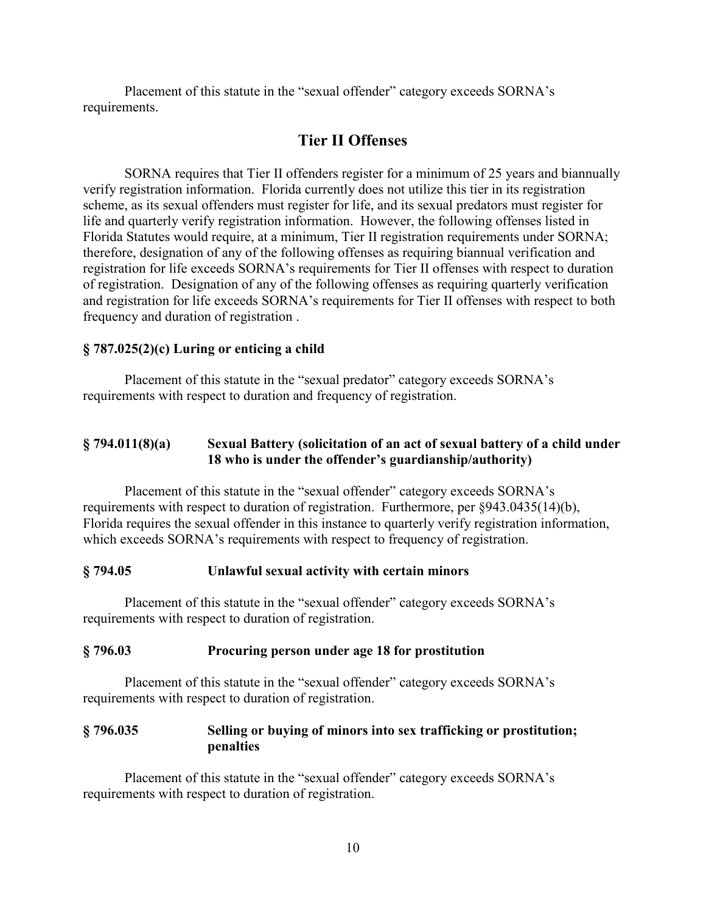Placement of this statute in the "sexual offender" category exceeds SORNA's requirements.

# **Tier II Offenses**

SORNA requires that Tier II offenders register for a minimum of 25 years and biannually verify registration information. Florida currently does not utilize this tier in its registration scheme, as its sexual offenders must register for life, and its sexual predators must register for life and quarterly verify registration information. However, the following offenses listed in Florida Statutes would require, at a minimum, Tier II registration requirements under SORNA; therefore, designation of any of the following offenses as requiring biannual verification and registration for life exceeds SORNA's requirements for Tier II offenses with respect to duration of registration. Designation of any of the following offenses as requiring quarterly verification and registration for life exceeds SORNA's requirements for Tier II offenses with respect to both frequency and duration of registration .

### **§ 787.025(2)(c) Luring or enticing a child**

Placement of this statute in the "sexual predator" category exceeds SORNA's requirements with respect to duration and frequency of registration.

### **§ 794.011(8)(a) Sexual Battery (solicitation of an act of sexual battery of a child under 18 who is under the offender's guardianship/authority)**

Placement of this statute in the "sexual offender" category exceeds SORNA's requirements with respect to duration of registration. Furthermore, per §943.0435(14)(b), Florida requires the sexual offender in this instance to quarterly verify registration information, which exceeds SORNA's requirements with respect to frequency of registration.

#### **§ 794.05 Unlawful sexual activity with certain minors**

Placement of this statute in the "sexual offender" category exceeds SORNA's requirements with respect to duration of registration.

#### **§ 796.03 Procuring person under age 18 for prostitution**

Placement of this statute in the "sexual offender" category exceeds SORNA's requirements with respect to duration of registration.

### **§ 796.035 Selling or buying of minors into sex trafficking or prostitution; penalties**

Placement of this statute in the "sexual offender" category exceeds SORNA's requirements with respect to duration of registration.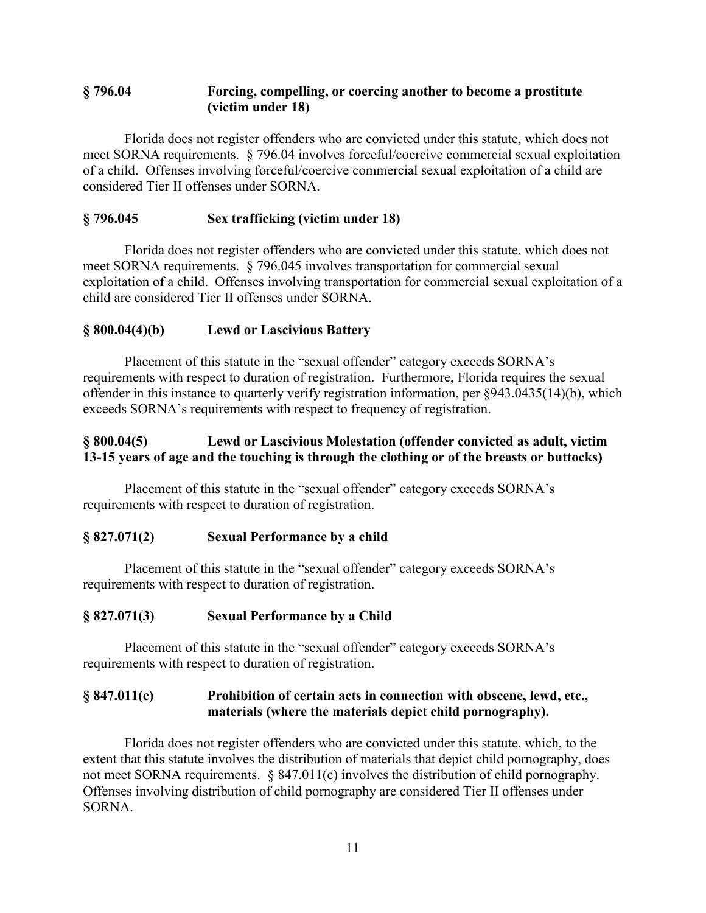### **§ 796.04 Forcing, compelling, or coercing another to become a prostitute (victim under 18)**

Florida does not register offenders who are convicted under this statute, which does not meet SORNA requirements. § 796.04 involves forceful/coercive commercial sexual exploitation of a child. Offenses involving forceful/coercive commercial sexual exploitation of a child are considered Tier II offenses under SORNA.

### **§ 796.045 Sex trafficking (victim under 18)**

Florida does not register offenders who are convicted under this statute, which does not meet SORNA requirements. § 796.045 involves transportation for commercial sexual exploitation of a child. Offenses involving transportation for commercial sexual exploitation of a child are considered Tier II offenses under SORNA.

### **§ 800.04(4)(b) Lewd or Lascivious Battery**

Placement of this statute in the "sexual offender" category exceeds SORNA's requirements with respect to duration of registration. Furthermore, Florida requires the sexual offender in this instance to quarterly verify registration information, per §943.0435(14)(b), which exceeds SORNA's requirements with respect to frequency of registration.

### **§ 800.04(5) Lewd or Lascivious Molestation (offender convicted as adult, victim 13-15 years of age and the touching is through the clothing or of the breasts or buttocks)**

Placement of this statute in the "sexual offender" category exceeds SORNA's requirements with respect to duration of registration.

#### **§ 827.071(2) Sexual Performance by a child**

Placement of this statute in the "sexual offender" category exceeds SORNA's requirements with respect to duration of registration.

#### **§ 827.071(3) Sexual Performance by a Child**

Placement of this statute in the "sexual offender" category exceeds SORNA's requirements with respect to duration of registration.

### **§ 847.011(c) Prohibition of certain acts in connection with obscene, lewd, etc., materials (where the materials depict child pornography).**

Florida does not register offenders who are convicted under this statute, which, to the extent that this statute involves the distribution of materials that depict child pornography, does not meet SORNA requirements. § 847.011(c) involves the distribution of child pornography. Offenses involving distribution of child pornography are considered Tier II offenses under SORNA.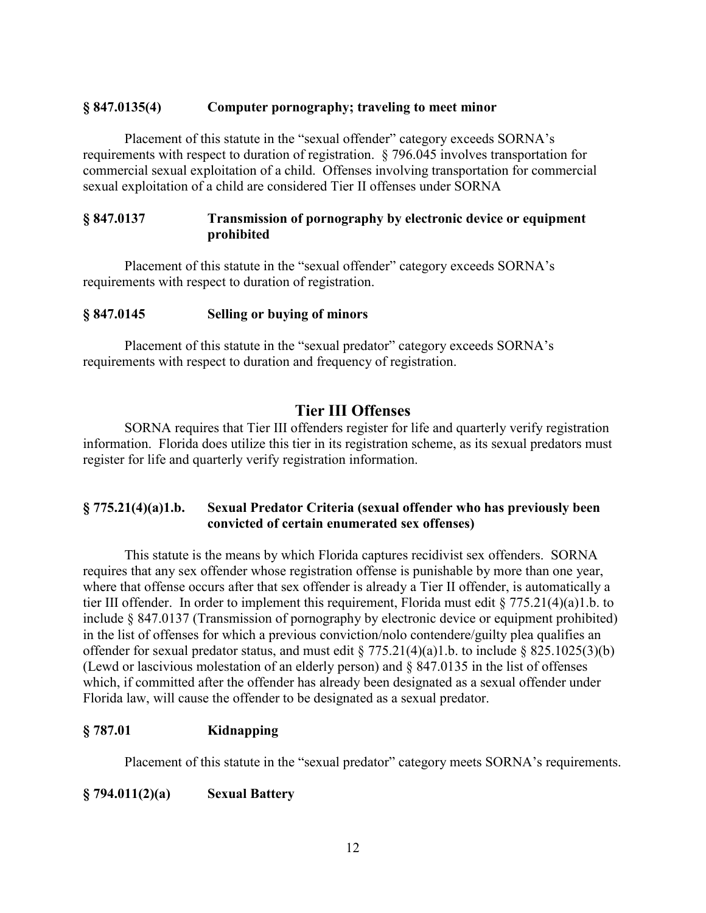#### **§ 847.0135(4) Computer pornography; traveling to meet minor**

Placement of this statute in the "sexual offender" category exceeds SORNA's requirements with respect to duration of registration. § 796.045 involves transportation for commercial sexual exploitation of a child. Offenses involving transportation for commercial sexual exploitation of a child are considered Tier II offenses under SORNA

#### **§ 847.0137 Transmission of pornography by electronic device or equipment prohibited**

Placement of this statute in the "sexual offender" category exceeds SORNA's requirements with respect to duration of registration.

#### **§ 847.0145 Selling or buying of minors**

Placement of this statute in the "sexual predator" category exceeds SORNA's requirements with respect to duration and frequency of registration.

### **Tier III Offenses**

SORNA requires that Tier III offenders register for life and quarterly verify registration information. Florida does utilize this tier in its registration scheme, as its sexual predators must register for life and quarterly verify registration information.

### **§ 775.21(4)(a)1.b. Sexual Predator Criteria (sexual offender who has previously been convicted of certain enumerated sex offenses)**

This statute is the means by which Florida captures recidivist sex offenders. SORNA requires that any sex offender whose registration offense is punishable by more than one year, where that offense occurs after that sex offender is already a Tier II offender, is automatically a tier III offender. In order to implement this requirement, Florida must edit § 775.21(4)(a)1.b. to include § 847.0137 (Transmission of pornography by electronic device or equipment prohibited) in the list of offenses for which a previous conviction/nolo contendere/guilty plea qualifies an offender for sexual predator status, and must edit § 775.21(4)(a)1.b. to include § 825.1025(3)(b) (Lewd or lascivious molestation of an elderly person) and § 847.0135 in the list of offenses which, if committed after the offender has already been designated as a sexual offender under Florida law, will cause the offender to be designated as a sexual predator.

#### **§ 787.01 Kidnapping**

Placement of this statute in the "sexual predator" category meets SORNA's requirements.

#### **§ 794.011(2)(a) Sexual Battery**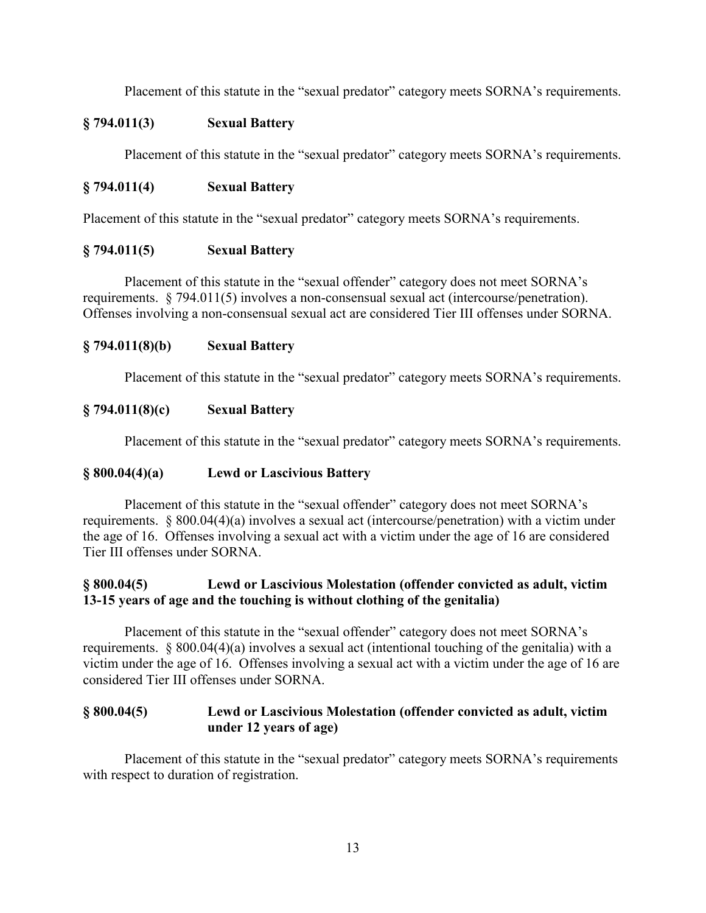Placement of this statute in the "sexual predator" category meets SORNA's requirements.

### **§ 794.011(3) Sexual Battery**

Placement of this statute in the "sexual predator" category meets SORNA's requirements.

### **§ 794.011(4) Sexual Battery**

Placement of this statute in the "sexual predator" category meets SORNA's requirements.

### **§ 794.011(5) Sexual Battery**

Placement of this statute in the "sexual offender" category does not meet SORNA's requirements. § 794.011(5) involves a non-consensual sexual act (intercourse/penetration). Offenses involving a non-consensual sexual act are considered Tier III offenses under SORNA.

### **§ 794.011(8)(b) Sexual Battery**

Placement of this statute in the "sexual predator" category meets SORNA's requirements.

### **§ 794.011(8)(c) Sexual Battery**

Placement of this statute in the "sexual predator" category meets SORNA's requirements.

#### **§ 800.04(4)(a) Lewd or Lascivious Battery**

Placement of this statute in the "sexual offender" category does not meet SORNA's requirements. § 800.04(4)(a) involves a sexual act (intercourse/penetration) with a victim under the age of 16. Offenses involving a sexual act with a victim under the age of 16 are considered Tier III offenses under SORNA.

### **§ 800.04(5) Lewd or Lascivious Molestation (offender convicted as adult, victim 13-15 years of age and the touching is without clothing of the genitalia)**

Placement of this statute in the "sexual offender" category does not meet SORNA's requirements. § 800.04(4)(a) involves a sexual act (intentional touching of the genitalia) with a victim under the age of 16. Offenses involving a sexual act with a victim under the age of 16 are considered Tier III offenses under SORNA.

### **§ 800.04(5) Lewd or Lascivious Molestation (offender convicted as adult, victim under 12 years of age)**

Placement of this statute in the "sexual predator" category meets SORNA's requirements with respect to duration of registration.